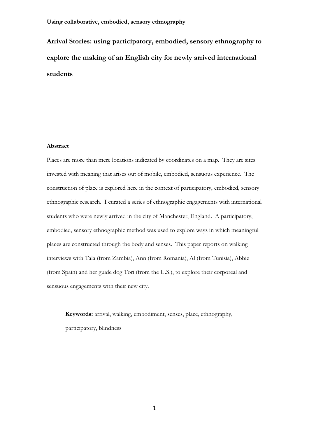**Arrival Stories: using participatory, embodied, sensory ethnography to explore the making of an English city for newly arrived international students**

# **Abstract**

Places are more than mere locations indicated by coordinates on a map. They are sites invested with meaning that arises out of mobile, embodied, sensuous experience. The construction of place is explored here in the context of participatory, embodied, sensory ethnographic research. I curated a series of ethnographic engagements with international students who were newly arrived in the city of Manchester, England. A participatory, embodied, sensory ethnographic method was used to explore ways in which meaningful places are constructed through the body and senses. This paper reports on walking interviews with Tala (from Zambia), Ann (from Romania), Al (from Tunisia), Abbie (from Spain) and her guide dog Tori (from the U.S.), to explore their corporeal and sensuous engagements with their new city.

**Keywords:** arrival, walking, embodiment, senses, place, ethnography, participatory, blindness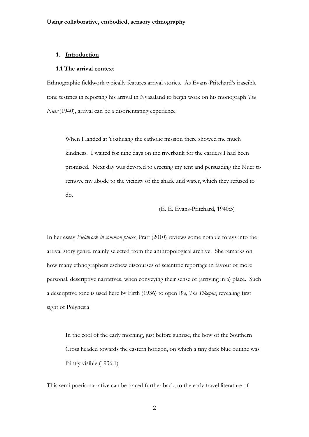#### **1. Introduction**

#### **1.1 The arrival context**

Ethnographic fieldwork typically features arrival stories. As Evans-Pritchard's irascible tone testifies in reporting his arrival in Nyasaland to begin work on his monograph *The Nuer* (1940), arrival can be a disorientating experience

When I landed at Yoahuang the catholic mission there showed me much kindness. I waited for nine days on the riverbank for the carriers I had been promised. Next day was devoted to erecting my tent and persuading the Nuer to remove my abode to the vicinity of the shade and water, which they refused to do.

(E. E. Evans-Pritchard, 1940:5)

In her essay *Fieldwork in common places*, Pratt (2010) reviews some notable forays into the arrival story genre, mainly selected from the anthropological archive. She remarks on how many ethnographers eschew discourses of scientific reportage in favour of more personal, descriptive narratives, when conveying their sense of (arriving in a) place. Such a descriptive tone is used here by Firth (1936) to open *We, The Tikopia*, revealing first sight of Polynesia

In the cool of the early morning, just before sunrise, the bow of the Southern Cross headed towards the eastern horizon, on which a tiny dark blue outline was faintly visible (1936:1)

This semi-poetic narrative can be traced further back, to the early travel literature of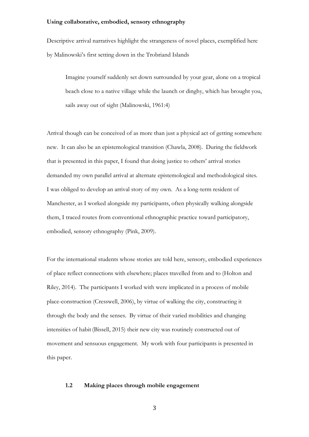Descriptive arrival narratives highlight the strangeness of novel places, exemplified here by Malinowski's first setting down in the Trobriand Islands

Imagine yourself suddenly set down surrounded by your gear, alone on a tropical beach close to a native village while the launch or dinghy, which has brought you, sails away out of sight (Malinowski, 1961:4)

Arrival though can be conceived of as more than just a physical act of getting somewhere new. It can also be an epistemological transition (Chawla, 2008). During the fieldwork that is presented in this paper, I found that doing justice to others' arrival stories demanded my own parallel arrival at alternate epistemological and methodological sites. I was obliged to develop an arrival story of my own. As a long-term resident of Manchester, as I worked alongside my participants, often physically walking alongside them, I traced routes from conventional ethnographic practice toward participatory, embodied, sensory ethnography (Pink, 2009).

For the international students whose stories are told here, sensory, embodied experiences of place reflect connections with elsewhere; places travelled from and to (Holton and Riley, 2014). The participants I worked with were implicated in a process of mobile place-construction (Cresswell, 2006), by virtue of walking the city, constructing it through the body and the senses. By virtue of their varied mobilities and changing intensities of habit (Bissell, 2015) their new city was routinely constructed out of movement and sensuous engagement. My work with four participants is presented in this paper.

# **1.2 Making places through mobile engagement**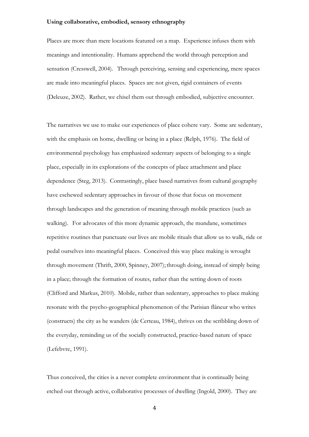Places are more than mere locations featured on a map. Experience infuses them with meanings and intentionality. Humans apprehend the world through perception and sensation (Cresswell, 2004). Through perceiving, sensing and experiencing, mere spaces are made into meaningful places. Spaces are not given, rigid containers of events (Deleuze, 2002). Rather, we chisel them out through embodied, subjective encounter.

The narratives we use to make our experiences of place cohere vary. Some are sedentary, with the emphasis on home, dwelling or being in a place (Relph, 1976). The field of environmental psychology has emphasized sedentary aspects of belonging to a single place, especially in its explorations of the concepts of place attachment and place dependence (Steg, 2013). Contrastingly, place based narratives from cultural geography have eschewed sedentary approaches in favour of those that focus on movement through landscapes and the generation of meaning through mobile practices (such as walking). For advocates of this more dynamic approach, the mundane, sometimes repetitive routines that punctuate our lives are mobile rituals that allow us to walk, ride or pedal ourselves into meaningful places. Conceived this way place making is wrought through movement (Thrift, 2000, Spinney, 2007); through doing, instead of simply being in a place; through the formation of routes, rather than the setting down of roots (Clifford and Markus, 2010). Mobile, rather than sedentary, approaches to place making resonate with the psycho-geographical phenomenon of the Parisian flâneur who writes (constructs) the city as he wanders (de Certeau, 1984), thrives on the scribbling down of the everyday, reminding us of the socially constructed, practice-based nature of space (Lefebvre, 1991).

Thus conceived, the cities is a never complete environment that is continually being etched out through active, collaborative processes of dwelling (Ingold, 2000). They are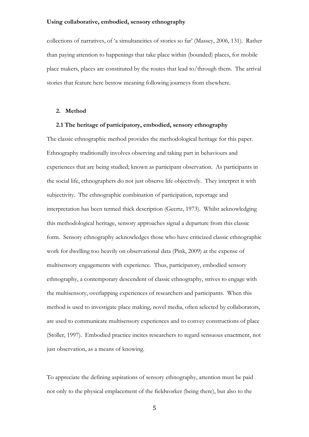collections of narratives, of 'a simultaneities of stories so far' (Massey, 2006, 131). Rather than paying attention to happenings that take place within (bounded) places, for mobile place makers, places are constituted by the routes that lead to/through them. The arrival stories that feature here bestow meaning following journeys from elsewhere.

## **2. Method**

# **2.1 The heritage of participatory, embodied, sensory ethnography**

The classic ethnographic method provides the methodological heritage for this paper. Ethnography traditionally involves observing and taking part in behaviours and experiences that are being studied; known as participant observation. As participants in the social life, ethnographers do not just observe life objectively. They interpret it with subjectivity. The ethnographic combination of participation, reportage and interpretation has been termed thick description (Geertz, 1973). Whilst acknowledging this methodological heritage, sensory approaches signal a departure from this classic form. Sensory ethnography acknowledges those who have criticized classic ethnographic work for dwelling too heavily on observational data (Pink, 2009) at the expense of multisensory engagements with experience. Thus, participatory, embodied sensory ethnography, a contemporary descendent of classic ethnography, strives to engage with the multisensory, overlapping experiences of researchers and participants. When this method is used to investigate place making, novel media, often selected by collaborators, are used to communicate multisensory experiences and to convey constructions of place (Stoller, 1997). Embodied practice incites researchers to regard sensuous enactment, not just observation, as a means of knowing.

To appreciate the defining aspirations of sensory ethnography, attention must be paid not only to the physical emplacement of the fieldworker (being there), but also to the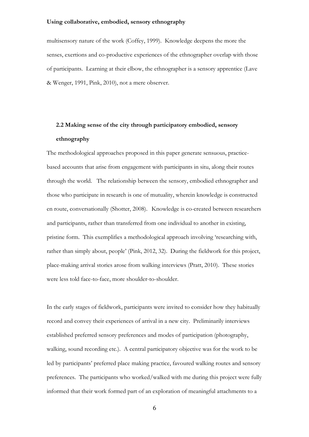multisensory nature of the work (Coffey, 1999). Knowledge deepens the more the senses, exertions and co-productive experiences of the ethnographer overlap with those of participants. Learning at their elbow, the ethnographer is a sensory apprentice (Lave & Wenger, 1991, Pink, 2010), not a mere observer.

# **2.2 Making sense of the city through participatory embodied, sensory ethnography**

The methodological approaches proposed in this paper generate sensuous, practicebased accounts that arise from engagement with participants in situ, along their routes through the world. The relationship between the sensory, embodied ethnographer and those who participate in research is one of mutuality, wherein knowledge is constructed en route, conversationally (Shotter, 2008). Knowledge is co-created between researchers and participants, rather than transferred from one individual to another in existing, pristine form. This exemplifies a methodological approach involving 'researching with, rather than simply about, people' (Pink, 2012, 32). During the fieldwork for this project, place-making arrival stories arose from walking interviews (Pratt, 2010). These stories were less told face-to-face, more shoulder-to-shoulder.

In the early stages of fieldwork, participants were invited to consider how they habitually record and convey their experiences of arrival in a new city. Preliminarily interviews established preferred sensory preferences and modes of participation (photography, walking, sound recording etc.). A central participatory objective was for the work to be led by participants' preferred place making practice, favoured walking routes and sensory preferences. The participants who worked/walked with me during this project were fully informed that their work formed part of an exploration of meaningful attachments to a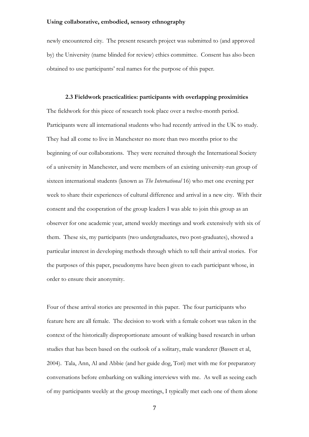newly encountered city. The present research project was submitted to (and approved by) the University (name blinded for review) ethics committee. Consent has also been obtained to use participants' real names for the purpose of this paper.

## **2.3 Fieldwork practicalities: participants with overlapping proximities**

The fieldwork for this piece of research took place over a twelve-month period. Participants were all international students who had recently arrived in the UK to study. They had all come to live in Manchester no more than two months prior to the beginning of our collaborations. They were recruited through the International Society of a university in Manchester, and were members of an existing university-run group of sixteen international students (known as *The International* 16) who met one evening per week to share their experiences of cultural difference and arrival in a new city. With their consent and the cooperation of the group leaders I was able to join this group as an observer for one academic year, attend weekly meetings and work extensively with six of them. These six, my participants (two undergraduates, two post-graduates), showed a particular interest in developing methods through which to tell their arrival stories. For the purposes of this paper, pseudonyms have been given to each participant whose, in order to ensure their anonymity.

Four of these arrival stories are presented in this paper. The four participants who feature here are all female. The decision to work with a female cohort was taken in the context of the historically disproportionate amount of walking based research in urban studies that has been based on the outlook of a solitary, male wanderer (Bassett et al, 2004). Tala, Ann, Al and Abbie (and her guide dog, Tori) met with me for preparatory conversations before embarking on walking interviews with me. As well as seeing each of my participants weekly at the group meetings, I typically met each one of them alone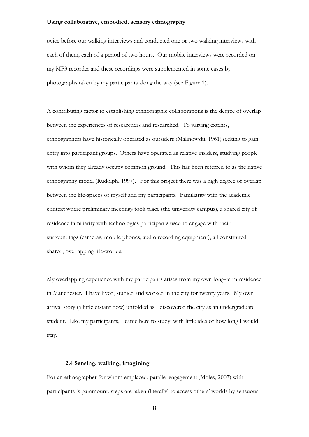twice before our walking interviews and conducted one or two walking interviews with each of them, each of a period of two hours. Our mobile interviews were recorded on my MP3 recorder and these recordings were supplemented in some cases by photographs taken by my participants along the way (see Figure 1).

A contributing factor to establishing ethnographic collaborations is the degree of overlap between the experiences of researchers and researched. To varying extents, ethnographers have historically operated as outsiders (Malinowski, 1961) seeking to gain entry into participant groups. Others have operated as relative insiders, studying people with whom they already occupy common ground. This has been referred to as the native ethnography model (Rudolph, 1997). For this project there was a high degree of overlap between the life-spaces of myself and my participants. Familiarity with the academic context where preliminary meetings took place (the university campus), a shared city of residence familiarity with technologies participants used to engage with their surroundings (cameras, mobile phones, audio recording equipment), all constituted shared, overlapping life-worlds.

My overlapping experience with my participants arises from my own long-term residence in Manchester. I have lived, studied and worked in the city for twenty years. My own arrival story (a little distant now) unfolded as I discovered the city as an undergraduate student. Like my participants, I came here to study, with little idea of how long I would stay.

# **2.4 Sensing, walking, imagining**

For an ethnographer for whom emplaced, parallel engagement (Moles, 2007) with participants is paramount, steps are taken (literally) to access others' worlds by sensuous,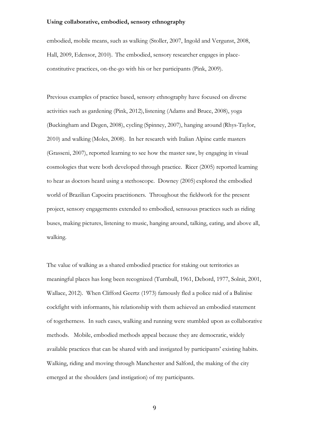embodied, mobile means, such as walking (Stoller, 2007, Ingold and Vergunst, 2008, Hall, 2009, Edensor, 2010). The embodied, sensory researcher engages in placeconstitutive practices, on-the-go with his or her participants (Pink, 2009).

Previous examples of practice based, sensory ethnography have focused on diverse activities such as gardening (Pink, 2012), listening (Adams and Bruce, 2008), yoga (Buckingham and Degen, 2008), cycling (Spinney, 2007), hanging around (Rhys-Taylor, 2010) and walking (Moles, 2008). In her research with Italian Alpine cattle masters (Grasseni, 2007), reported learning to see how the master saw, by engaging in visual cosmologies that were both developed through practice. Ricer (2005) reported learning to hear as doctors heard using a stethoscope. Downey (2005) explored the embodied world of Brazilian Capoeira practitioners. Throughout the fieldwork for the present project, sensory engagements extended to embodied, sensuous practices such as riding buses, making pictures, listening to music, hanging around, talking, eating, and above all, walking.

The value of walking as a shared embodied practice for staking out territories as meaningful places has long been recognized (Turnbull, 1961, Debord, 1977, Solnit, 2001, Wallace, 2012). When Clifford Geertz (1973) famously fled a police raid of a Balinise cockfight with informants, his relationship with them achieved an embodied statement of togetherness. In such cases, walking and running were stumbled upon as collaborative methods. Mobile, embodied methods appeal because they are democratic, widely available practices that can be shared with and instigated by participants' existing habits. Walking, riding and moving through Manchester and Salford, the making of the city emerged at the shoulders (and instigation) of my participants.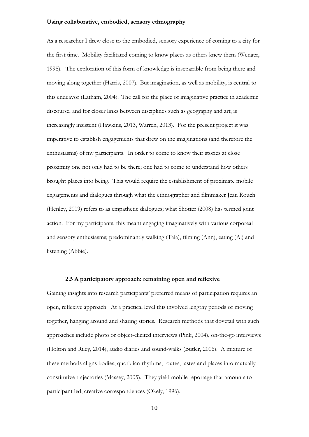As a researcher I drew close to the embodied, sensory experience of coming to a city for the first time. Mobility facilitated coming to know places as others knew them (Wenger, 1998). The exploration of this form of knowledge is inseparable from being there and moving along together (Harris, 2007). But imagination, as well as mobility, is central to this endeavor (Latham, 2004). The call for the place of imaginative practice in academic discourse, and for closer links between disciplines such as geography and art, is increasingly insistent (Hawkins, 2013, Warren, 2013). For the present project it was imperative to establish engagements that drew on the imaginations (and therefore the enthusiasms) of my participants. In order to come to know their stories at close proximity one not only had to be there; one had to come to understand how others brought places into being. This would require the establishment of proximate mobile engagements and dialogues through what the ethnographer and filmmaker Jean Rouch (Henley, 2009) refers to as empathetic dialogues; what Shotter (2008) has termed joint action. For my participants, this meant engaging imaginatively with various corporeal and sensory enthusiasms; predominantly walking (Tala), filming (Ann), eating (Al) and listening (Abbie).

## **2.5 A participatory approach: remaining open and reflexive**

Gaining insights into research participants' preferred means of participation requires an open, reflexive approach. At a practical level this involved lengthy periods of moving together, hanging around and sharing stories. Research methods that dovetail with such approaches include photo or object-elicited interviews (Pink, 2004), on-the-go interviews (Holton and Riley, 2014), audio diaries and sound-walks (Butler, 2006). A mixture of these methods aligns bodies, quotidian rhythms, routes, tastes and places into mutually constitutive trajectories (Massey, 2005). They yield mobile reportage that amounts to participant led, creative correspondences (Okely, 1996).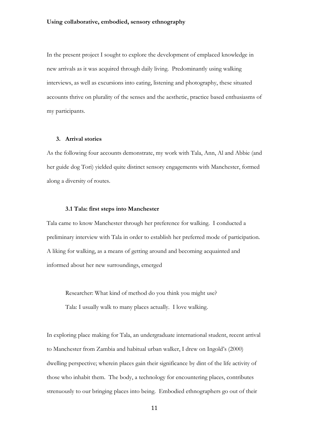In the present project I sought to explore the development of emplaced knowledge in new arrivals as it was acquired through daily living. Predominantly using walking interviews, as well as excursions into eating, listening and photography, these situated accounts thrive on plurality of the senses and the aesthetic, practice based enthusiasms of my participants.

# **3. Arrival stories**

As the following four accounts demonstrate, my work with Tala, Ann, Al and Abbie (and her guide dog Tori) yielded quite distinct sensory engagements with Manchester, formed along a diversity of routes.

#### **3.1 Tala: first steps into Manchester**

Tala came to know Manchester through her preference for walking. I conducted a preliminary interview with Tala in order to establish her preferred mode of participation. A liking for walking, as a means of getting around and becoming acquainted and informed about her new surroundings, emerged

Researcher: What kind of method do you think you might use?

Tala: I usually walk to many places actually. I love walking.

In exploring place making for Tala, an undergraduate international student, recent arrival to Manchester from Zambia and habitual urban walker, I drew on Ingold's (2000) dwelling perspective; wherein places gain their significance by dint of the life activity of those who inhabit them. The body, a technology for encountering places, contributes strenuously to our bringing places into being. Embodied ethnographers go out of their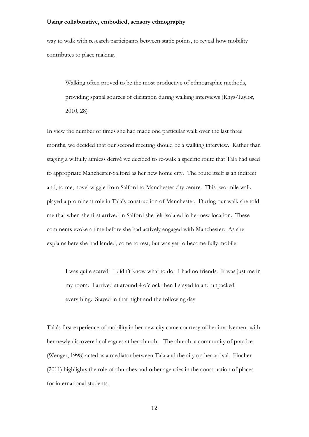way to walk with research participants between static points, to reveal how mobility contributes to place making.

Walking often proved to be the most productive of ethnographic methods, providing spatial sources of elicitation during walking interviews (Rhys-Taylor, 2010, 28)

In view the number of times she had made one particular walk over the last three months, we decided that our second meeting should be a walking interview. Rather than staging a wilfully aimless derivé we decided to re-walk a specific route that Tala had used to appropriate Manchester-Salford as her new home city. The route itself is an indirect and, to me, novel wiggle from Salford to Manchester city centre. This two-mile walk played a prominent role in Tala's construction of Manchester. During our walk she told me that when she first arrived in Salford she felt isolated in her new location. These comments evoke a time before she had actively engaged with Manchester. As she explains here she had landed, come to rest, but was yet to become fully mobile

I was quite scared. I didn't know what to do. I had no friends. It was just me in my room. I arrived at around 4 o'clock then I stayed in and unpacked everything. Stayed in that night and the following day

Tala's first experience of mobility in her new city came courtesy of her involvement with her newly discovered colleagues at her church. The church, a community of practice (Wenger, 1998) acted as a mediator between Tala and the city on her arrival. Fincher (2011) highlights the role of churches and other agencies in the construction of places for international students.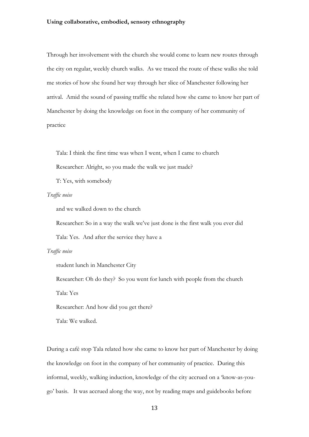Through her involvement with the church she would come to learn new routes through the city on regular, weekly church walks. As we traced the route of these walks she told me stories of how she found her way through her slice of Manchester following her arrival. Amid the sound of passing traffic she related how she came to know her part of Manchester by doing the knowledge on foot in the company of her community of practice

Tala: I think the first time was when I went, when I came to church

Researcher: Alright, so you made the walk we just made?

T: Yes, with somebody

#### *Traffic noise*

and we walked down to the church

Researcher: So in a way the walk we've just done is the first walk you ever did

Tala: Yes. And after the service they have a

#### *Traffic noise*

student lunch in Manchester City

Researcher: Oh do they? So you went for lunch with people from the church

Tala: Yes

Researcher: And how did you get there?

Tala: We walked.

During a café stop Tala related how she came to know her part of Manchester by doing the knowledge on foot in the company of her community of practice. During this informal, weekly, walking induction, knowledge of the city accrued on a 'know-as-yougo' basis. It was accrued along the way, not by reading maps and guidebooks before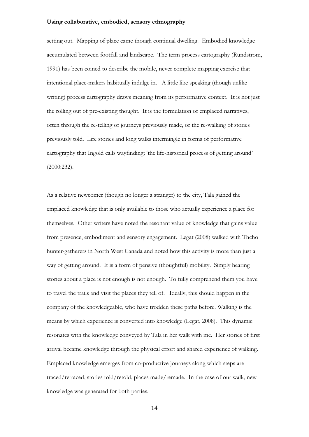setting out. Mapping of place came though continual dwelling. Embodied knowledge accumulated between footfall and landscape. The term process cartography (Rundstrom, 1991) has been coined to describe the mobile, never complete mapping exercise that intentional place-makers habitually indulge in. A little like speaking (though unlike writing) process cartography draws meaning from its performative context. It is not just the rolling out of pre-existing thought. It is the formulation of emplaced narratives, often through the re-telling of journeys previously made, or the re-walking of stories previously told. Life stories and long walks intermingle in forms of performative cartography that Ingold calls wayfinding; 'the life-historical process of getting around' (2000:232).

As a relative newcomer (though no longer a stranger) to the city, Tala gained the emplaced knowledge that is only available to those who actually experience a place for themselves. Other writers have noted the resonant value of knowledge that gains value from presence, embodiment and sensory engagement. Legat (2008) walked with Thcho hunter-gatherers in North West Canada and noted how this activity is more than just a way of getting around. It is a form of pensive (thoughtful) mobility. Simply hearing stories about a place is not enough is not enough. To fully comprehend them you have to travel the trails and visit the places they tell of. Ideally, this should happen in the company of the knowledgeable, who have trodden these paths before. Walking is the means by which experience is converted into knowledge (Legat, 2008). This dynamic resonates with the knowledge conveyed by Tala in her walk with me. Her stories of first arrival became knowledge through the physical effort and shared experience of walking. Emplaced knowledge emerges from co-productive journeys along which steps are traced/retraced, stories told/retold, places made/remade. In the case of our walk, new knowledge was generated for both parties.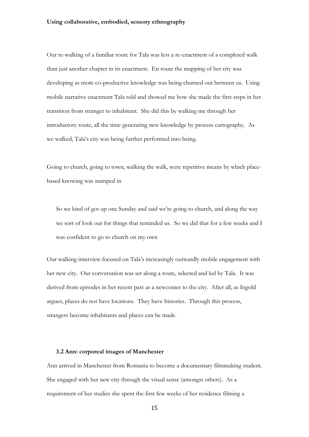Our re-walking of a familiar route for Tala was less a re-enactment of a completed walk than just another chapter in its enactment. En route the mapping of her city was developing as more co-productive knowledge was being churned out between us. Using mobile narrative enactment Tala told and showed me how she made the first steps in her transition from stranger to inhabitant. She did this by walking me through her introductory route, all the time generating new knowledge by process cartography. As we walked, Tala's city was being further performed into being.

Going to church, going to town, walking the walk, were repetitive means by which placebased knowing was stamped in

So we kind of got up one Sunday and said we're going to church, and along the way we sort of look out for things that reminded us. So we did that for a few weeks and I was confident to go to church on my own

Our walking interview focused on Tala's increasingly outwardly mobile engagement with her new city. Our conversation was set along a route, selected and led by Tala. It was derived from episodes in her recent past as a newcomer to the city. After all, as Ingold argues, places do not have locations. They have histories. Through this process, strangers become inhabitants and places can be made.

#### **3.2 Ann: corporeal images of Manchester**

Ann arrived in Manchester from Romania to become a documentary filmmaking student. She engaged with her new city through the visual sense (amongst others). As a requirement of her studies she spent the first few weeks of her residence filming a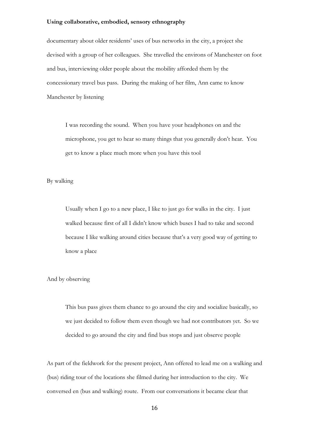documentary about older residents' uses of bus networks in the city, a project she devised with a group of her colleagues. She travelled the environs of Manchester on foot and bus, interviewing older people about the mobility afforded them by the concessionary travel bus pass. During the making of her film, Ann came to know Manchester by listening

I was recording the sound. When you have your headphones on and the microphone, you get to hear so many things that you generally don't hear. You get to know a place much more when you have this tool

By walking

Usually when I go to a new place, I like to just go for walks in the city. I just walked because first of all I didn't know which buses I had to take and second because I like walking around cities because that's a very good way of getting to know a place

And by observing

This bus pass gives them chance to go around the city and socialize basically, so we just decided to follow them even though we had not contributors yet. So we decided to go around the city and find bus stops and just observe people

As part of the fieldwork for the present project, Ann offered to lead me on a walking and (bus) riding tour of the locations she filmed during her introduction to the city. We conversed en (bus and walking) route. From our conversations it became clear that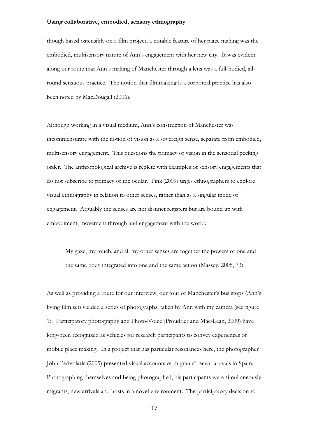though based ostensibly on a film project, a notable feature of her place making was the embodied, multisensory nature of Ann's engagement with her new city. It was evident along our route that Ann's making of Manchester through a lens was a full-bodied, allround sensuous practice. The notion that filmmaking is a corporeal practice has also been noted by MacDougall (2006).

Although working in a visual medium, Ann's construction of Manchester was incommensurate with the notion of vision as a sovereign sense, separate from embodied, multisensory engagement. This questions the primacy of vision in the sensorial pecking order. The anthropological archive is replete with examples of sensory engagements that do not subscribe to primacy of the ocular. Pink (2009) urges ethnographers to explore visual ethnography in relation to other senses, rather than as a singular mode of engagement. Arguably the senses are not distinct registers but are bound up with embodiment, movement through and engagement with the world:

My gaze, my touch, and all my other senses are together the powers of one and the same body integrated into one and the same action (Massey, 2005, 73)

As well as providing a route for our interview, our tour of Manchester's bus stops (Ann's living film set) yielded a series of photographs, taken by Ann with my camera (see figure 1). Participatory photography and Photo-Voice (Proudrier and Mac-Lean, 2009) have long-been recognized as vehicles for research participants to convey experiences of mobile place making. In a project that has particular resonances here, the photographer John Perivolaris (2005) presented visual accounts of migrants' recent arrivals in Spain. Photographing themselves and being photographed, his participants were simultaneously migrants, new arrivals and hosts in a novel environment. The participatory decision to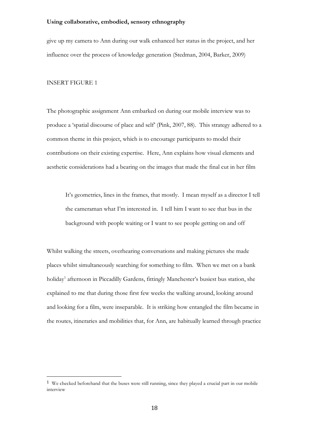give up my camera to Ann during our walk enhanced her status in the project, and her influence over the process of knowledge generation (Stedman, 2004, Barker, 2009)

#### INSERT FIGURE 1

 $\overline{\phantom{a}}$ 

The photographic assignment Ann embarked on during our mobile interview was to produce a 'spatial discourse of place and self' (Pink, 2007, 88). This strategy adhered to a common theme in this project, which is to encourage participants to model their contributions on their existing expertise. Here, Ann explains how visual elements and aesthetic considerations had a bearing on the images that made the final cut in her film

It's geometries, lines in the frames, that mostly. I mean myself as a director I tell the cameraman what I'm interested in. I tell him I want to see that bus in the background with people waiting or I want to see people getting on and off

Whilst walking the streets, overhearing conversations and making pictures she made places whilst simultaneously searching for something to film. When we met on a bank holiday<sup>1</sup> afternoon in Piccadilly Gardens, fittingly Manchester's busiest bus station, she explained to me that during those first few weeks the walking around, looking around and looking for a film, were inseparable. It is striking how entangled the film became in the routes, itineraries and mobilities that, for Ann, are habitually learned through practice

<sup>1</sup> We checked beforehand that the buses were still running, since they played a crucial part in our mobile interview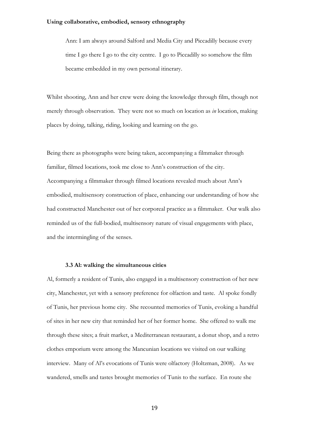Ann: I am always around Salford and Media City and Piccadilly because every time I go there I go to the city centre. I go to Piccadilly so somehow the film became embedded in my own personal itinerary.

Whilst shooting, Ann and her crew were doing the knowledge through film, though not merely through observation. They were not so much on location as *in* location, making places by doing, talking, riding, looking and learning on the go.

Being there as photographs were being taken, accompanying a filmmaker through familiar, filmed locations, took me close to Ann's construction of the city. Accompanying a filmmaker through filmed locations revealed much about Ann's embodied, multisensory construction of place, enhancing our understanding of how she had constructed Manchester out of her corporeal practice as a filmmaker. Our walk also reminded us of the full-bodied, multisensory nature of visual engagements with place, and the intermingling of the senses.

#### **3.3 Al: walking the simultaneous cities**

Al, formerly a resident of Tunis, also engaged in a multisensory construction of her new city, Manchester, yet with a sensory preference for olfaction and taste. Al spoke fondly of Tunis, her previous home city. She recounted memories of Tunis, evoking a handful of sites in her new city that reminded her of her former home. She offered to walk me through these sites; a fruit market, a Mediterranean restaurant, a donut shop, and a retro clothes emporium were among the Mancunian locations we visited on our walking interview. Many of Al's evocations of Tunis were olfactory (Holtzman, 2008). As we wandered, smells and tastes brought memories of Tunis to the surface. En route she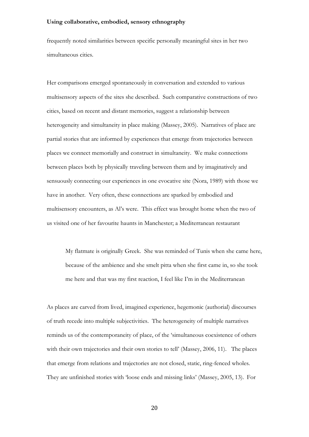frequently noted similarities between specific personally meaningful sites in her two simultaneous cities.

Her comparisons emerged spontaneously in conversation and extended to various multisensory aspects of the sites she described. Such comparative constructions of two cities, based on recent and distant memories, suggest a relationship between heterogeneity and simultaneity in place making (Massey, 2005). Narratives of place are partial stories that are informed by experiences that emerge from trajectories between places we connect memorially and construct in simultaneity. We make connections between places both by physically traveling between them and by imaginatively and sensuously connecting our experiences in one evocative site (Nora, 1989) with those we have in another. Very often, these connections are sparked by embodied and multisensory encounters, as Al's were. This effect was brought home when the two of us visited one of her favourite haunts in Manchester; a Mediterranean restaurant

My flatmate is originally Greek. She was reminded of Tunis when she came here, because of the ambience and she smelt pitta when she first came in, so she took me here and that was my first reaction, I feel like I'm in the Mediterranean

As places are carved from lived, imagined experience, hegemonic (authorial) discourses of truth recede into multiple subjectivities. The heterogeneity of multiple narratives reminds us of the contemporaneity of place, of the 'simultaneous coexistence of others with their own trajectories and their own stories to tell' (Massey, 2006, 11). The places that emerge from relations and trajectories are not closed, static, ring-fenced wholes. They are unfinished stories with 'loose ends and missing links' (Massey, 2005, 13). For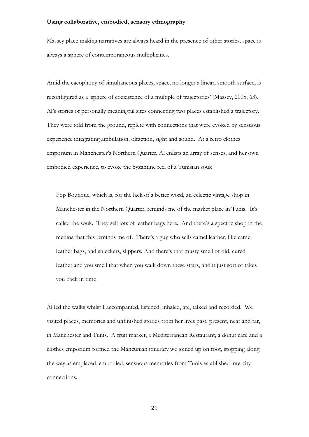Massey place making narratives are always heard in the presence of other stories, space is always a sphere of contemporaneous multiplicities.

Amid the cacophony of simultaneous places, space, no longer a linear, smooth surface, is reconfigured as a 'sphere of coexistence of a multiple of trajectories' (Massey, 2005, 63). Al's stories of personally meaningful sites connecting two places established a trajectory. They were told from the ground, replete with connections that were evoked by sensuous experience integrating ambulation, olfaction, sight and sound. At a retro clothes emporium in Manchester's Northern Quarter, Al enlists an array of senses, and her own embodied experience, to evoke the byzantine feel of a Tunisian souk

Pop Boutique, which is, for the lack of a better word, an eclectic vintage shop in Manchester in the Northern Quarter, reminds me of the market place in Tunis. It's called the souk. They sell lots of leather bags here. And there's a specific shop in the medina that this reminds me of. There's a guy who sells camel leather, like camel leather bags, and shleckers, slippers. And there's that musty smell of old, cured leather and you smell that when you walk down these stairs, and it just sort of takes you back in time

Al led the walks whilst I accompanied, listened, inhaled, ate, talked and recorded. We visited places, memories and unfinished stories from her lives past, present, near and far, in Manchester and Tunis. A fruit market, a Mediterranean Restaurant, a donut café and a clothes emporium formed the Mancunian itinerary we joined up on foot, stopping along the way as emplaced, embodied, sensuous memories from Tunis established intercity connections.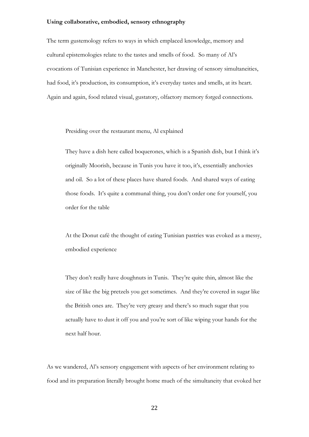The term gustemology refers to ways in which emplaced knowledge, memory and cultural epistemologies relate to the tastes and smells of food. So many of Al's evocations of Tunisian experience in Manchester, her drawing of sensory simultaneities, had food, it's production, its consumption, it's everyday tastes and smells, at its heart. Again and again, food related visual, gustatory, olfactory memory forged connections.

Presiding over the restaurant menu, Al explained

They have a dish here called boquerones, which is a Spanish dish, but I think it's originally Moorish, because in Tunis you have it too, it's, essentially anchovies and oil. So a lot of these places have shared foods. And shared ways of eating those foods. It's quite a communal thing, you don't order one for yourself, you order for the table

At the Donut café the thought of eating Tunisian pastries was evoked as a messy, embodied experience

They don't really have doughnuts in Tunis. They're quite thin, almost like the size of like the big pretzels you get sometimes. And they're covered in sugar like the British ones are. They're very greasy and there's so much sugar that you actually have to dust it off you and you're sort of like wiping your hands for the next half hour.

As we wandered, Al's sensory engagement with aspects of her environment relating to food and its preparation literally brought home much of the simultaneity that evoked her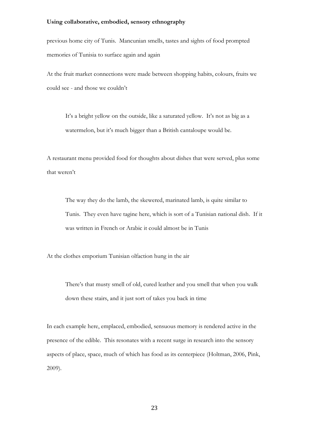previous home city of Tunis. Mancunian smells, tastes and sights of food prompted memories of Tunisia to surface again and again

At the fruit market connections were made between shopping habits, colours, fruits we could see - and those we couldn't

It's a bright yellow on the outside, like a saturated yellow. It's not as big as a watermelon, but it's much bigger than a British cantaloupe would be.

A restaurant menu provided food for thoughts about dishes that were served, plus some that weren't

The way they do the lamb, the skewered, marinated lamb, is quite similar to Tunis. They even have tagine here, which is sort of a Tunisian national dish. If it was written in French or Arabic it could almost be in Tunis

At the clothes emporium Tunisian olfaction hung in the air

There's that musty smell of old, cured leather and you smell that when you walk down these stairs, and it just sort of takes you back in time

In each example here, emplaced, embodied, sensuous memory is rendered active in the presence of the edible. This resonates with a recent surge in research into the sensory aspects of place, space, much of which has food as its centerpiece (Holtman, 2006, Pink, 2009).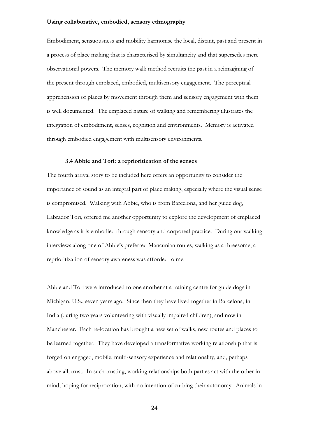Embodiment, sensuousness and mobility harmonise the local, distant, past and present in a process of place making that is characterised by simultaneity and that supersedes mere observational powers. The memory walk method recruits the past in a reimagining of the present through emplaced, embodied, multisensory engagement. The perceptual apprehension of places by movement through them and sensory engagement with them is well documented. The emplaced nature of walking and remembering illustrates the integration of embodiment, senses, cognition and environments. Memory is activated through embodied engagement with multisensory environments.

#### **3.4 Abbie and Tori: a reprioritization of the senses**

The fourth arrival story to be included here offers an opportunity to consider the importance of sound as an integral part of place making, especially where the visual sense is compromised. Walking with Abbie, who is from Barcelona, and her guide dog, Labrador Tori, offered me another opportunity to explore the development of emplaced knowledge as it is embodied through sensory and corporeal practice. During our walking interviews along one of Abbie's preferred Mancunian routes, walking as a threesome, a reprioritization of sensory awareness was afforded to me.

Abbie and Tori were introduced to one another at a training centre for guide dogs in Michigan, U.S., seven years ago. Since then they have lived together in Barcelona, in India (during two years volunteering with visually impaired children), and now in Manchester. Each re-location has brought a new set of walks, new routes and places to be learned together. They have developed a transformative working relationship that is forged on engaged, mobile, multi-sensory experience and relationality, and, perhaps above all, trust. In such trusting, working relationships both parties act with the other in mind, hoping for reciprocation, with no intention of curbing their autonomy. Animals in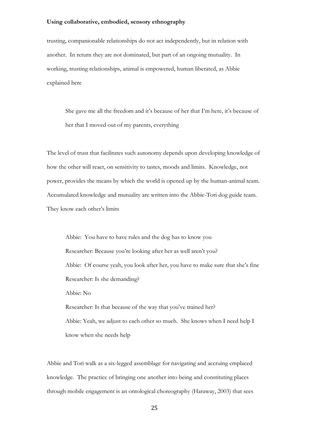trusting, companionable relationships do not act independently, but in relation with another. In return they are not dominated, but part of an ongoing mutuality. In working, trusting relationships, animal is empowered, human liberated, as Abbie explained here

She gave me all the freedom and it's because of her that I'm here, it's because of her that I moved out of my parents, everything

The level of trust that facilitates such autonomy depends upon developing knowledge of how the other will react, on sensitivity to tastes, moods and limits. Knowledge, not power, provides the means by which the world is opened up by the human-animal team. Accumulated knowledge and mutuality are written into the Abbie-Tori dog guide team. They know each other's limits

Abbie: You have to have rules and the dog has to know you Researcher: Because you're looking after her as well aren't you? Abbie: Of course yeah, you look after her, you have to make sure that she's fine Researcher: Is she demanding? Abbie: No Researcher: Is that because of the way that you've trained her? Abbie: Yeah, we adjust to each other so much. She knows when I need help I know when she needs help

Abbie and Tori walk as a six-legged assemblage for navigating and accruing emplaced knowledge. The practice of bringing one another into being and constituting places through mobile engagement is an ontological choreography (Haraway, 2003) that sees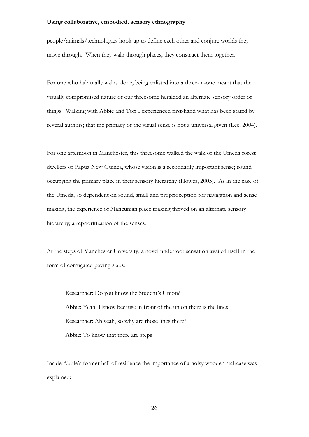people/animals/technologies hook up to define each other and conjure worlds they move through. When they walk through places, they construct them together.

For one who habitually walks alone, being enlisted into a three-in-one meant that the visually compromised nature of our threesome heralded an alternate sensory order of things. Walking with Abbie and Tori I experienced first-hand what has been stated by several authors; that the primacy of the visual sense is not a universal given (Lee, 2004).

For one afternoon in Manchester, this threesome walked the walk of the Umeda forest dwellers of Papua New Guinea, whose vision is a secondarily important sense; sound occupying the primary place in their sensory hierarchy (Howes, 2005). As in the case of the Umeda, so dependent on sound, smell and proprioception for navigation and sense making, the experience of Mancunian place making thrived on an alternate sensory hierarchy; a reprioritization of the senses.

At the steps of Manchester University, a novel underfoot sensation availed itself in the form of corrugated paving slabs:

Researcher: Do you know the Student's Union? Abbie: Yeah, I know because in front of the union there is the lines Researcher: Ah yeah, so why are those lines there? Abbie: To know that there are steps

Inside Abbie's former hall of residence the importance of a noisy wooden staircase was explained: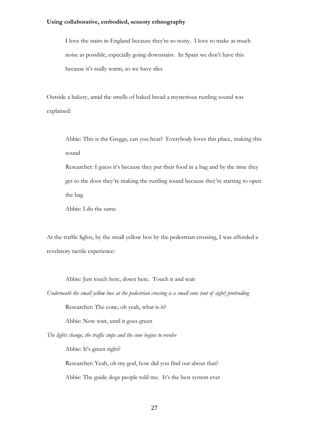I love the stairs in England because they're so noisy. I love to make as much noise as possible, especially going downstairs. In Spain we don't have this because it's really warm, so we have tiles

Outside a bakery, amid the smells of baked bread a mysterious rustling sound was explained:

Abbie: This is the Greggs, can you hear? Everybody loves this place, making this sound

Researcher: I guess it's because they put their food in a bag and by the time they get to the door they're making the rustling sound because they're starting to open the bag

Abbie: I do the same

At the traffic lights, by the small yellow box by the pedestrian crossing, I was afforded a revelatory tactile experience:

Abbie: Just touch here, down here. Touch it and wait

*Underneath the small yellow box at the pedestrian crossing is a small cone (out of sight) protruding* 

Researcher: The cone, oh yeah, what is it?

Abbie: Now wait, until it goes green

*The lights change, the traffic stops and the cone begins to revolve* 

Abbie: It's green right?

Researcher: Yeah, oh my god, how did you find out about that? Abbie: The guide dogs people told me. It's the best system ever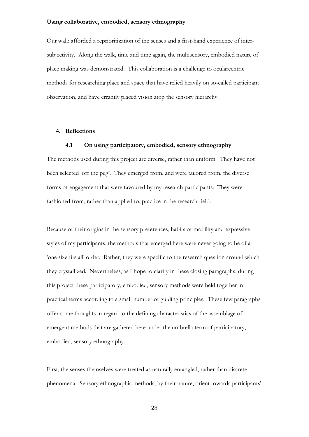Our walk afforded a reprioritization of the senses and a first-hand experience of intersubjectivity. Along the walk, time and time again, the multisensory, embodied nature of place making was demonstrated. This collaboration is a challenge to ocularcentric methods for researching place and space that have relied heavily on so-called participant observation, and have errantly placed vision atop the sensory hierarchy.

# **4. Reflections**

# **4.1 On using participatory, embodied, sensory ethnography**

The methods used during this project are diverse, rather than uniform. They have not been selected 'off the peg'. They emerged from, and were tailored from, the diverse forms of engagement that were favoured by my research participants. They were fashioned from, rather than applied to, practice in the research field.

Because of their origins in the sensory preferences, habits of mobility and expressive styles of my participants, the methods that emerged here were never going to be of a 'one size fits all' order. Rather, they were specific to the research question around which they crystallized. Nevertheless, as I hope to clarify in these closing paragraphs, during this project these participatory, embodied, sensory methods were held together in practical terms according to a small number of guiding principles. These few paragraphs offer some thoughts in regard to the defining characteristics of the assemblage of emergent methods that are gathered here under the umbrella term of participatory, embodied, sensory ethnography.

First, the senses themselves were treated as naturally entangled, rather than discrete, phenomena. Sensory ethnographic methods, by their nature, orient towards participants'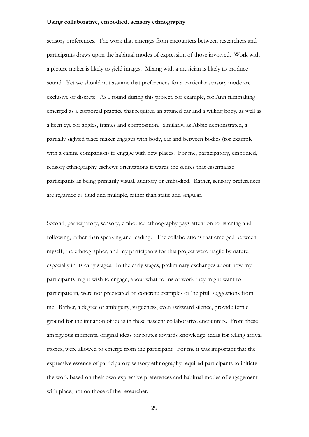sensory preferences. The work that emerges from encounters between researchers and participants draws upon the habitual modes of expression of those involved. Work with a picture maker is likely to yield images. Mixing with a musician is likely to produce sound. Yet we should not assume that preferences for a particular sensory mode are exclusive or discrete. As I found during this project, for example, for Ann filmmaking emerged as a corporeal practice that required an attuned ear and a willing body, as well as a keen eye for angles, frames and composition. Similarly, as Abbie demonstrated, a partially sighted place maker engages with body, ear and between bodies (for example with a canine companion) to engage with new places. For me, participatory, embodied, sensory ethnography eschews orientations towards the senses that essentialize participants as being primarily visual, auditory or embodied. Rather, sensory preferences are regarded as fluid and multiple, rather than static and singular.

Second, participatory, sensory, embodied ethnography pays attention to listening and following, rather than speaking and leading. The collaborations that emerged between myself, the ethnographer, and my participants for this project were fragile by nature, especially in its early stages. In the early stages, preliminary exchanges about how my participants might wish to engage, about what forms of work they might want to participate in, were not predicated on concrete examples or 'helpful' suggestions from me. Rather, a degree of ambiguity, vagueness, even awkward silence, provide fertile ground for the initiation of ideas in these nascent collaborative encounters. From these ambiguous moments, original ideas for routes towards knowledge, ideas for telling arrival stories, were allowed to emerge from the participant. For me it was important that the expressive essence of participatory sensory ethnography required participants to initiate the work based on their own expressive preferences and habitual modes of engagement with place, not on those of the researcher.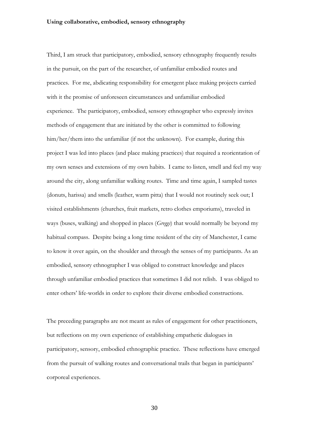Third, I am struck that participatory, embodied, sensory ethnography frequently results in the pursuit, on the part of the researcher, of unfamiliar embodied routes and practices. For me, abdicating responsibility for emergent place making projects carried with it the promise of unforeseen circumstances and unfamiliar embodied experience. The participatory, embodied, sensory ethnographer who expressly invites methods of engagement that are initiated by the other is committed to following him/her/them into the unfamiliar (if not the unknown). For example, during this project I was led into places (and place making practices) that required a reorientation of my own senses and extensions of my own habits. I came to listen, smell and feel my way around the city, along unfamiliar walking routes. Time and time again, I sampled tastes (donuts, harissa) and smells (leather, warm pitta) that I would not routinely seek out; I visited establishments (churches, fruit markets, retro clothes emporiums), traveled in ways (buses, walking) and shopped in places (*Greggs*) that would normally be beyond my habitual compass. Despite being a long time resident of the city of Manchester, I came to know it over again, on the shoulder and through the senses of my participants. As an embodied, sensory ethnographer I was obliged to construct knowledge and places through unfamiliar embodied practices that sometimes I did not relish. I was obliged to enter others' life-worlds in order to explore their diverse embodied constructions.

The preceding paragraphs are not meant as rules of engagement for other practitioners, but reflections on my own experience of establishing empathetic dialogues in participatory, sensory, embodied ethnographic practice. These reflections have emerged from the pursuit of walking routes and conversational trails that began in participants' corporeal experiences.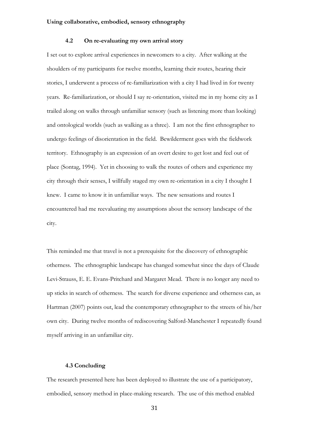## **4.2 On re-evaluating my own arrival story**

I set out to explore arrival experiences in newcomers to a city. After walking at the shoulders of my participants for twelve months, learning their routes, hearing their stories, I underwent a process of re-familiarization with a city I had lived in for twenty years. Re-familiarization, or should I say re-orientation, visited me in my home city as I trailed along on walks through unfamiliar sensory (such as listening more than looking) and ontological worlds (such as walking as a three). I am not the first ethnographer to undergo feelings of disorientation in the field. Bewilderment goes with the fieldwork territory. Ethnography is an expression of an overt desire to get lost and feel out of place (Sontag, 1994). Yet in choosing to walk the routes of others and experience my city through their senses, I willfully staged my own re-orientation in a city I thought I knew. I came to know it in unfamiliar ways. The new sensations and routes I encountered had me reevaluating my assumptions about the sensory landscape of the city.

This reminded me that travel is not a prerequisite for the discovery of ethnographic otherness. The ethnographic landscape has changed somewhat since the days of Claude Levi-Strauss, E. E. Evans-Pritchard and Margaret Mead. There is no longer any need to up sticks in search of otherness. The search for diverse experience and otherness can, as Hartman (2007) points out, lead the contemporary ethnographer to the streets of his/her own city. During twelve months of rediscovering Salford-Manchester I repeatedly found myself arriving in an unfamiliar city.

## **4.3 Concluding**

The research presented here has been deployed to illustrate the use of a participatory, embodied, sensory method in place-making research. The use of this method enabled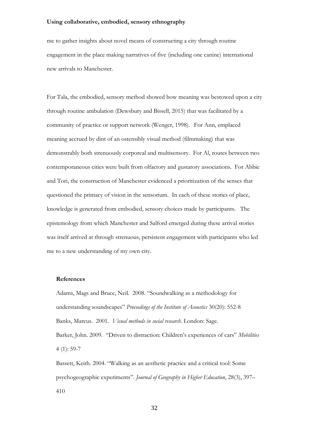me to gather insights about novel means of constructing a city through routine engagement in the place making narratives of five (including one canine) international new arrivals to Manchester.

For Tala, the embodied, sensory method showed how meaning was bestowed upon a city through routine ambulation (Dewsbury and Bissell, 2015) that was facilitated by a community of practice or support network (Wenger, 1998). For Ann, emplaced meaning accrued by dint of an ostensibly visual method (filmmaking) that was demonstrably both strenuously corporeal and multisensory. For Al, routes between two contemporaneous cities were built from olfactory and gustatory associations. For Abbie and Tori, the construction of Manchester evidenced a prioritization of the senses that questioned the primacy of vision in the sensorium. In each of these stories of place, knowledge is generated from embodied, sensory choices made by participants. The epistemology from which Manchester and Salford emerged during these arrival stories was itself arrived at through strenuous, persistent engagement with participants who led me to a new understanding of my own city.

#### **References**

Adams, Mags and Bruce, Neil. 2008. "Soundwalking as a methodology for understanding soundscapes" *Proceedings of the Institute of Acoustics* 30(20): 552-8 Banks, Marcus. 2001. *Visual methods in social research*. London: Sage. Barker, John. 2009. "Driven to distraction: Children's experiences of cars" *Mobilities*  4 (1): 59-7

Bassett, Keith. 2004. "Walking as an aesthetic practice and a critical tool: Some psychogeographic experiments". *Journal of Geography in Higher Education*, 28(3), 397– 410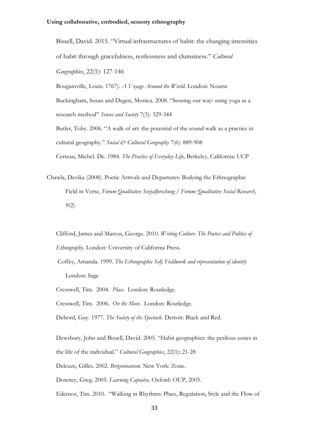Bissell, David. 2015. "Virtual infrastructures of habit: the changing intensities of habit through gracefulness, restlessness and clumsiness." *Cultural Geographies*, 22(1): 127-146

Bougainville, Louis. 1767). *A Voyage Around the World.* London: Nourse Buckingham, Susan and Degen, Monica. 2008. "Sensing our way: using yoga as a research method" *Senses and Society* 7(3): 329-344

Butler, Toby. 2006. "A walk of art: the potential of the sound walk as a practice in cultural geography." *Social & Cultural Geography* 7(6): 889-908

Certeau, Michel. De. 1984. *The Practice of Everyday Life,* Berkeley, California: UCP

Chawla, Devika (2008). Poetic Arrivals and Departures: Bodying the Ethnographic Field in Verse, *Forum Qualitative Sozialforschung / Forum: Qualitative Social Research*, *9*(2)

Clifford, James and Marcus, George. 2010. *Writing Culture: The Poetics and Politics of Ethnography.* London: University of California Press.

- Coffey, Amanda. 1999. *The Ethnographic Self, Fieldwork and representation of identity*  London: Sage
- Cresswell, Tim. 2004. *Place*. London: Routledge.

Cresswell, Tim. 2006. *On the Move*. London: Routledge.

Debord, Guy. 1977. *The Society of the Spectacle*. Detroit: Black and Red.

Dewsbury, John and Bissell, David. 2005. "Habit geographies: the perilous zones in the life of the individual." *Cultural Geographies*, 22(1):.21-28 Deleuze, Gilles. 2002. *Bergsonianism.* New York: Zone. Downey, Greg. 2005. *Learning Capoeira.* Oxford: OUP, 2005.

Edensor, Tim. 2010. "Walking in Rhythms: Place, Regulation, Style and the Flow of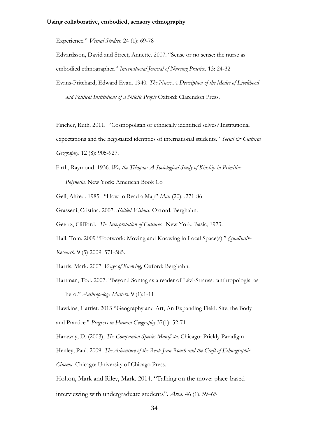Experience." *Visual Studies.* 24 (1): 69-78

Edvardsson, David and Street, Annette. 2007. "Sense or no sense: the nurse as embodied ethnographer." *International Journal of Nursing Practice.* 13: 24-32 Evans-Pritchard, Edward Evan. 1940. *The Nuer: A Description of the Modes of Livelihood and Political Institutions of a Nilotic People* Oxford: Clarendon Press.

Fincher, Ruth. 2011. "Cosmopolitan or ethnically identified selves? Institutional expectations and the negotiated identities of international students." *Social & Cultural Geography*. 12 (8): 905-927.

Firth, Raymond. 1936. *We, the Tikopia: A Sociological Study of Kinship in Primitive* 

*Polynesia.* New York: American Book Co

Gell, Alfred. 1985. "How to Read a Map" *Man* (20): .271-86

Grasseni, Cristina. 2007. *Skilled Visions.* Oxford: Berghahn.

Geertz, Clifford. *The Interpretation of Cultures.* New York: Basic, 1973.

Hall, Tom. 2009 "Footwork: Moving and Knowing in Local Space(s)." *Qualitative Research.* 9 (5) 2009: 571-585.

Harris, Mark. 2007. *Ways of Knowing,* Oxford: Berghahn.

 Hartman, Tod. 2007. "Beyond Sontag as a reader of Lévi-Strauss: 'anthropologist as hero." *Anthropology Matters*. 9 (1):1-11

Hawkins, Harriet. 2013 "[Geography and Art, An Expanding Field: Site, the Body](http://pure.rhul.ac.uk/portal/en/publications/geography-and-art-an-expanding-field-site-the-body-and-practice(43108678-6ca4-4251-a0d5-36d836098e86).html)  [and Practice](http://pure.rhul.ac.uk/portal/en/publications/geography-and-art-an-expanding-field-site-the-body-and-practice(43108678-6ca4-4251-a0d5-36d836098e86).html)." *Progress in Human Geography* 37(1): 52-71

 Haraway, D. (2003), *The Companion Species Manifesto,* Chicago: Prickly Paradigm Henley, Paul. 2009. *The Adventure of the Real: Jean Rouch and the Craft of Ethnographic Cinema*. Chicago: University of Chicago Press.

Holton, Mark and Riley, Mark. 2014. "Talking on the move: place-based interviewing with undergraduate students". *Area*. 46 [\(1\), 5](http://onlinelibrary.wiley.com/doi/10.1111/area.2014.46.issue-1/issuetoc)9–65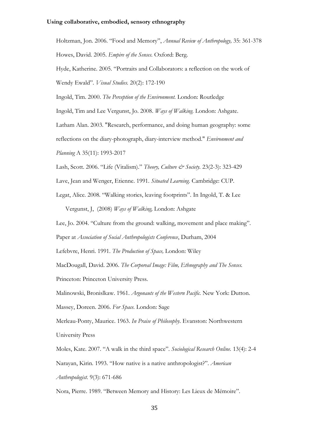Holtzman, Jon. 2006. "Food and Memory", *Annual Review of Anthropology,* 35: 361-378 Howes, David. 2005. *Empire of the Senses.* Oxford: Berg. Hyde, Katherine. 2005. "Portraits and Collaborators: a reflection on the work of Wendy Ewald". *Visual Studies.* 20(2): 172-190 Ingold, Tim. 2000. *The Perception of the Environment.* London: Routledge Ingold, Tim and Lee Vergunst, Jo. 2008. *Ways of Walking.* London: Ashgate. Latham Alan. 2003. "Research, performance, and doing human geography: some reflections on the diary-photograph, diary-interview method." *Environment and Planning* A 35(11): 1993-2017

Lash, Scott. 2006. "Life (Vitalism)." *Theory, Culture & Society.* 23(2-3): 323-429

Lave, Jean and Wenger, Etienne. 1991. *Situated Learning.* Cambridge: CUP.

Legat, Alice. 2008. "Walking stories, leaving footprints". In Ingold, T. & Lee

Vergunst, J, (2008) *Ways of Walking,* London: Ashgate

Lee, Jo. 2004. "Culture from the ground: walking, movement and place making".

Paper at *Association of Social Anthropologists Conference*, Durham, 2004

Lefebvre, Henri. 1991. *The Production of Space,* London: Wiley

MacDougall, David. 2006. *The Corporeal Image: Film, Ethnography and The Senses.* 

Princeton: Princeton University Press.

Malinowski, Bronislkaw. 1961. *Argonauts of the Western Pacific.* New York: Dutton.

Massey, Doreen. 2006. *For Space.* London: Sage

Merleau-Ponty, Maurice. 1963. *In Praise of Philosophy*. Evanston: Northwestern University Press

Moles, Kate. 2007. "A walk in the third space". *Sociological Research Online.* 13(4): 2-4 Narayan, Kirin. 1993. "How native is a native anthropologist?". *American Anthropologist.* 9(3): 671-686

Nora, Pierre. 1989. "Between Memory and History: Les Lieux de Mémoire".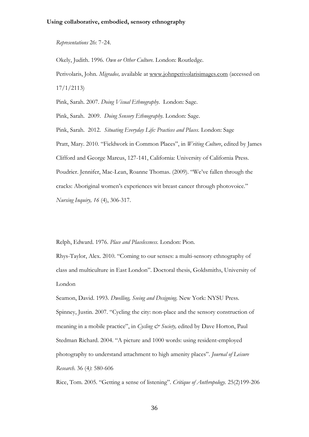*Representations* 26: 7‐24.

Okely, Judith. 1996. *Own or Other Culture.* London: Routledge. Perivolaris, John. *Migrados,* available at [www.johnperivolarisimages.com](http://www.johnperivolarisimages.com/) (accessed on 17/1/2113)

Pink, Sarah. 2007. *Doing Visual Ethnography*. London: Sage.

Pink, Sarah. 2009. *Doing Sensory Ethnography.* London: Sage.

Pink, Sarah. 2012. *Situating Everyday Life: Practices and Places.* London: Sage

Pratt, Mary. 2010. "Fieldwork in Common Places", in *Writing Culture*, edited by James Clifford and George Marcus, 127-141, California: University of California Press. Poudrier. Jennifer, Mac-Lean, Roanne Thomas. (2009). "We've fallen through the cracks: Aboriginal women's experiences wit breast cancer through photovoice."

*Nursing Inquiry, 16* (4), 306-317.

Relph, Edward. 1976. *Place and Placelessness.* London: Pion.

Rhys-Taylor, Alex. 2010. "Coming to our senses: a multi-sensory ethnography of class and multiculture in East London". Doctoral thesis, Goldsmiths, University of London

Seamon, David. 1993. *Dwelling, Seeing and Designing.* New York: NYSU Press. Spinney, Justin. 2007. "Cycling the city: non-place and the sensory construction of meaning in a mobile practice", in *Cycling & Society*, edited by Dave Horton, Paul Stedman Richard. 2004. "A picture and 1000 words: using resident-employed photography to understand attachment to high amenity places". *Journal of Leisure Research.* 36 (4*)*: 580-606

Rice, Tom. 2005. "Getting a sense of listening". *Critique of Anthropology.* 25(2)199-206